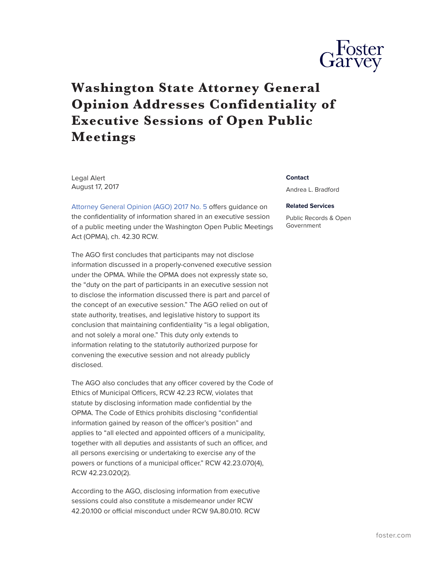

## **Washington State Attorney General Opinion Addresses Confidentiality of Executive Sessions of Open Public Meetings**

Legal Alert August 17, 2017

[Attorney General Opinion \(AGO\) 2017 No. 5](http://www.atg.wa.gov/ago-opinions/whether-information-learned-executive-session-confidential) offers guidance on the confidentiality of information shared in an executive session of a public meeting under the Washington Open Public Meetings Act (OPMA), ch. 42.30 RCW.

The AGO first concludes that participants may not disclose information discussed in a properly-convened executive session under the OPMA. While the OPMA does not expressly state so, the "duty on the part of participants in an executive session not to disclose the information discussed there is part and parcel of the concept of an executive session." The AGO relied on out of state authority, treatises, and legislative history to support its conclusion that maintaining confidentiality "is a legal obligation, and not solely a moral one." This duty only extends to information relating to the statutorily authorized purpose for convening the executive session and not already publicly disclosed.

The AGO also concludes that any officer covered by the Code of Ethics of Municipal Officers, RCW 42.23 RCW, violates that statute by disclosing information made confidential by the OPMA. The Code of Ethics prohibits disclosing "confidential information gained by reason of the officer's position" and applies to "all elected and appointed officers of a municipality, together with all deputies and assistants of such an officer, and all persons exercising or undertaking to exercise any of the powers or functions of a municipal officer." RCW 42.23.070(4), RCW 42.23.020(2).

According to the AGO, disclosing information from executive sessions could also constitute a misdemeanor under RCW 42.20.100 or official misconduct under RCW 9A.80.010. RCW

## **Contact**

Andrea L. Bradford

## **Related Services**

Public Records & Open Government